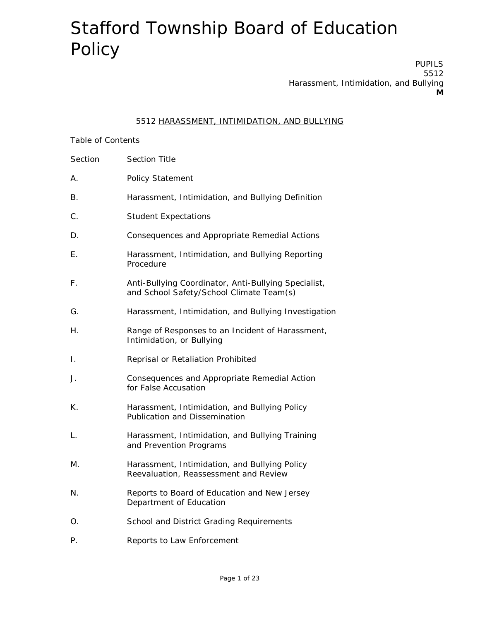PUPILS 5512 Harassment, Intimidation, and Bullying **M**

#### 5512 HARASSMENT, INTIMIDATION, AND BULLYING

#### Table of Contents

- Section Section Title
- A. Policy Statement
- B. Harassment, Intimidation, and Bullying Definition
- C. Student Expectations
- D. Consequences and Appropriate Remedial Actions
- E. Harassment, Intimidation, and Bullying Reporting Procedure
- F. Anti-Bullying Coordinator, Anti-Bullying Specialist, and School Safety/School Climate Team(s)
- G. Harassment, Intimidation, and Bullying Investigation
- H. Range of Responses to an Incident of Harassment, Intimidation, or Bullying
- I. Reprisal or Retaliation Prohibited
- J. Consequences and Appropriate Remedial Action for False Accusation
- K. Harassment, Intimidation, and Bullying Policy Publication and Dissemination
- L. Harassment, Intimidation, and Bullying Training and Prevention Programs
- M. Harassment, Intimidation, and Bullying Policy Reevaluation, Reassessment and Review
- N. Reports to Board of Education and New Jersey Department of Education
- O. School and District Grading Requirements
- P. Reports to Law Enforcement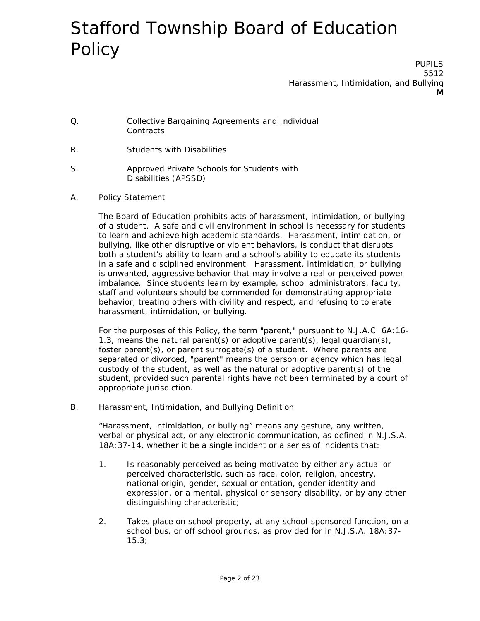PUPILS 5512 Harassment, Intimidation, and Bullying **M**

- Q. Collective Bargaining Agreements and Individual **Contracts**
- R. Students with Disabilities
- S. Approved Private Schools for Students with Disabilities (APSSD)
- A. Policy Statement

The Board of Education prohibits acts of harassment, intimidation, or bullying of a student. A safe and civil environment in school is necessary for students to learn and achieve high academic standards. Harassment, intimidation, or bullying, like other disruptive or violent behaviors, is conduct that disrupts both a student's ability to learn and a school's ability to educate its students in a safe and disciplined environment. Harassment, intimidation, or bullying is unwanted, aggressive behavior that may involve a real or perceived power imbalance. Since students learn by example, school administrators, faculty, staff and volunteers should be commended for demonstrating appropriate behavior, treating others with civility and respect, and refusing to tolerate harassment, intimidation, or bullying.

For the purposes of this Policy, the term "parent," pursuant to N.J.A.C. 6A:16- 1.3, means the natural parent(s) or adoptive parent(s), legal guardian(s), foster parent(s), or parent surrogate(s) of a student. Where parents are separated or divorced, "parent" means the person or agency which has legal custody of the student, as well as the natural or adoptive parent(s) of the student, provided such parental rights have not been terminated by a court of appropriate jurisdiction.

B. Harassment, Intimidation, and Bullying Definition

"Harassment, intimidation, or bullying" means any gesture, any written, verbal or physical act, or any electronic communication, as defined in N.J.S.A. 18A:37-14, whether it be a single incident or a series of incidents that:

- 1. Is reasonably perceived as being motivated by either any actual or perceived characteristic, such as race, color, religion, ancestry, national origin, gender, sexual orientation, gender identity and expression, or a mental, physical or sensory disability, or by any other distinguishing characteristic;
- 2. Takes place on school property, at any school-sponsored function, on a school bus, or off school grounds, as provided for in N.J.S.A. 18A:37- 15.3;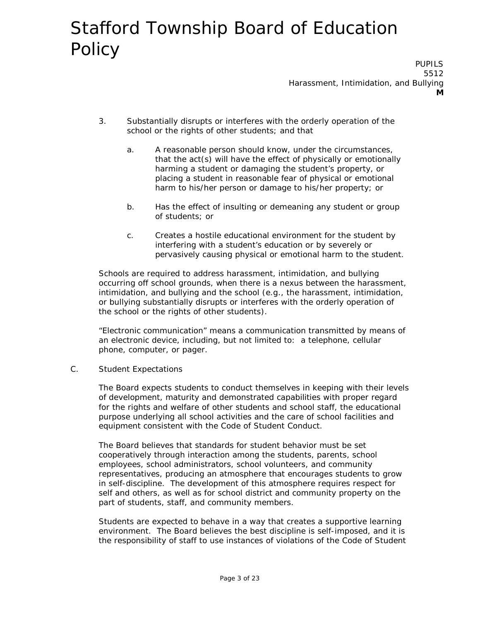PUPILS 5512 Harassment, Intimidation, and Bullying **M**

- 3. Substantially disrupts or interferes with the orderly operation of the school or the rights of other students; and that
	- a. A reasonable person should know, under the circumstances, that the act(s) will have the effect of physically or emotionally harming a student or damaging the student's property, or placing a student in reasonable fear of physical or emotional harm to his/her person or damage to his/her property; or
	- b. Has the effect of insulting or demeaning any student or group of students; or
	- c. Creates a hostile educational environment for the student by interfering with a student's education or by severely or pervasively causing physical or emotional harm to the student.

Schools are required to address harassment, intimidation, and bullying occurring off school grounds, when there is a nexus between the harassment, intimidation, and bullying and the school (e.g., the harassment, intimidation, or bullying substantially disrupts or interferes with the orderly operation of the school or the rights of other students).

"Electronic communication" means a communication transmitted by means of an electronic device, including, but not limited to: a telephone, cellular phone, computer, or pager.

C. Student Expectations

The Board expects students to conduct themselves in keeping with their levels of development, maturity and demonstrated capabilities with proper regard for the rights and welfare of other students and school staff, the educational purpose underlying all school activities and the care of school facilities and equipment consistent with the Code of Student Conduct.

The Board believes that standards for student behavior must be set cooperatively through interaction among the students, parents, school employees, school administrators, school volunteers, and community representatives, producing an atmosphere that encourages students to grow in self-discipline. The development of this atmosphere requires respect for self and others, as well as for school district and community property on the part of students, staff, and community members.

Students are expected to behave in a way that creates a supportive learning environment. The Board believes the best discipline is self-imposed, and it is the responsibility of staff to use instances of violations of the Code of Student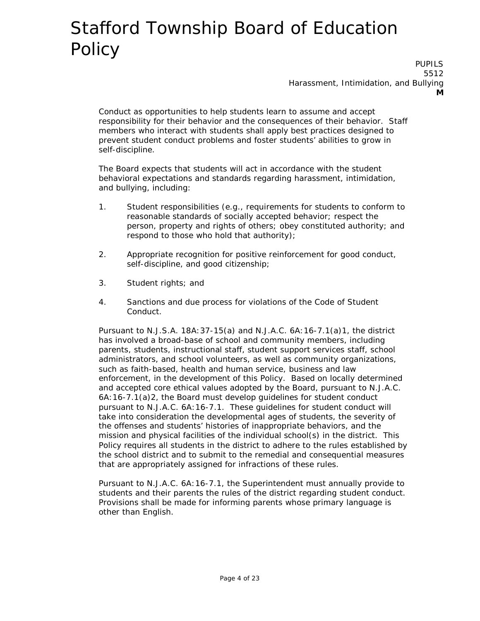PUPILS 5512 Harassment, Intimidation, and Bullying **M**

Conduct as opportunities to help students learn to assume and accept responsibility for their behavior and the consequences of their behavior. Staff members who interact with students shall apply best practices designed to prevent student conduct problems and foster students' abilities to grow in self-discipline.

The Board expects that students will act in accordance with the student behavioral expectations and standards regarding harassment, intimidation, and bullying, including:

- 1. Student responsibilities (e.g., requirements for students to conform to reasonable standards of socially accepted behavior; respect the person, property and rights of others; obey constituted authority; and respond to those who hold that authority);
- 2. Appropriate recognition for positive reinforcement for good conduct, self-discipline, and good citizenship;
- 3. Student rights; and
- 4. Sanctions and due process for violations of the Code of Student Conduct.

Pursuant to N.J.S.A. 18A:37-15(a) and N.J.A.C. 6A:16-7.1(a)1, the district has involved a broad-base of school and community members, including parents, students, instructional staff, student support services staff, school administrators, and school volunteers, as well as community organizations, such as faith-based, health and human service, business and law enforcement, in the development of this Policy. Based on locally determined and accepted core ethical values adopted by the Board, pursuant to N.J.A.C. 6A:16-7.1(a)2, the Board must develop guidelines for student conduct pursuant to N.J.A.C. 6A:16-7.1. These guidelines for student conduct will take into consideration the developmental ages of students, the severity of the offenses and students' histories of inappropriate behaviors, and the mission and physical facilities of the individual school(s) in the district. This Policy requires all students in the district to adhere to the rules established by the school district and to submit to the remedial and consequential measures that are appropriately assigned for infractions of these rules.

Pursuant to N.J.A.C. 6A:16-7.1, the Superintendent must annually provide to students and their parents the rules of the district regarding student conduct. Provisions shall be made for informing parents whose primary language is other than English.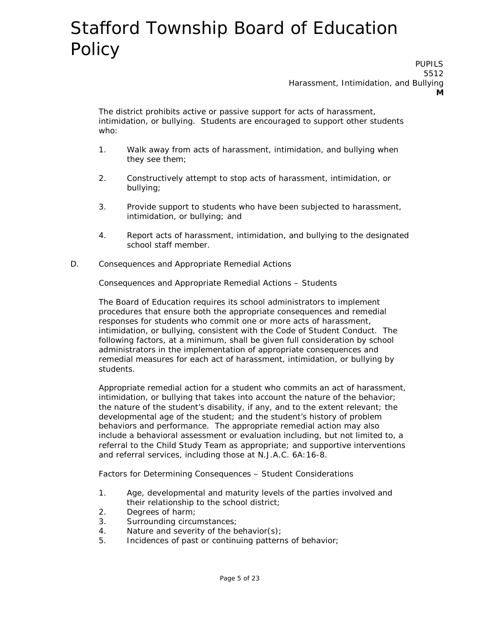PUPILS 5512 Harassment, Intimidation, and Bullying **M**

The district prohibits active or passive support for acts of harassment, intimidation, or bullying. Students are encouraged to support other students who:

- 1. Walk away from acts of harassment, intimidation, and bullying when they see them;
- 2. Constructively attempt to stop acts of harassment, intimidation, or bullying;
- 3. Provide support to students who have been subjected to harassment, intimidation, or bullying; and
- 4. Report acts of harassment, intimidation, and bullying to the designated school staff member.
- D. Consequences and Appropriate Remedial Actions

Consequences and Appropriate Remedial Actions – Students

The Board of Education requires its school administrators to implement procedures that ensure both the appropriate consequences and remedial responses for students who commit one or more acts of harassment, intimidation, or bullying, consistent with the Code of Student Conduct. The following factors, at a minimum, shall be given full consideration by school administrators in the implementation of appropriate consequences and remedial measures for each act of harassment, intimidation, or bullying by students.

Appropriate remedial action for a student who commits an act of harassment, intimidation, or bullying that takes into account the nature of the behavior; the nature of the student's disability, if any, and to the extent relevant; the developmental age of the student; and the student's history of problem behaviors and performance. The appropriate remedial action may also include a behavioral assessment or evaluation including, but not limited to, a referral to the Child Study Team as appropriate; and supportive interventions and referral services, including those at N.J.A.C. 6A:16-8.

Factors for Determining Consequences – Student Considerations

- 1. Age, developmental and maturity levels of the parties involved and their relationship to the school district;
- 2. Degrees of harm;
- 3. Surrounding circumstances;
- 4. Nature and severity of the behavior(s);
- 5. Incidences of past or continuing patterns of behavior;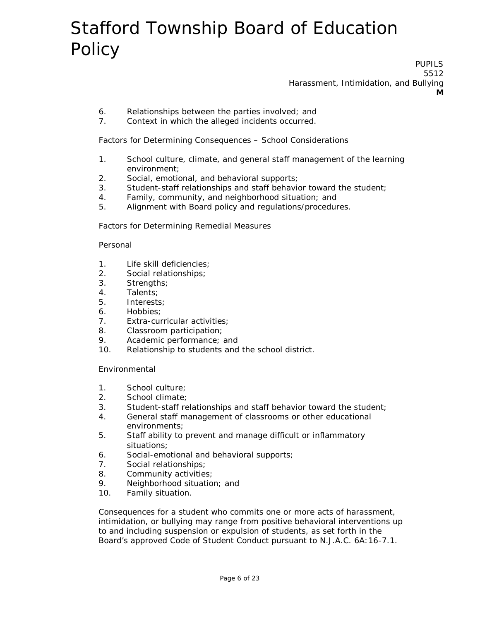PUPILS 5512 Harassment, Intimidation, and Bullying **M**

- 6. Relationships between the parties involved; and
- 7. Context in which the alleged incidents occurred.

Factors for Determining Consequences – School Considerations

- 1. School culture, climate, and general staff management of the learning environment;
- 2. Social, emotional, and behavioral supports;
- 3. Student-staff relationships and staff behavior toward the student;
- 4. Family, community, and neighborhood situation; and
- 5. Alignment with Board policy and regulations/procedures.

Factors for Determining Remedial Measures

#### Personal

- 1. Life skill deficiencies;
- 2. Social relationships;
- 3. Strengths;
- 4. Talents;
- 5. Interests;
- 6. Hobbies;
- 7. Extra-curricular activities;
- 8. Classroom participation;
- 9. Academic performance; and
- 10. Relationship to students and the school district.

Environmental

- 1. School culture;
- 2. School climate;
- 3. Student-staff relationships and staff behavior toward the student;
- 4. General staff management of classrooms or other educational environments;
- 5. Staff ability to prevent and manage difficult or inflammatory situations;
- 6. Social-emotional and behavioral supports;
- 7. Social relationships;
- 8. Community activities;
- 9. Neighborhood situation; and
- 10. Family situation.

Consequences for a student who commits one or more acts of harassment, intimidation, or bullying may range from positive behavioral interventions up to and including suspension or expulsion of students, as set forth in the Board's approved Code of Student Conduct pursuant to N.J.A.C. 6A:16-7.1.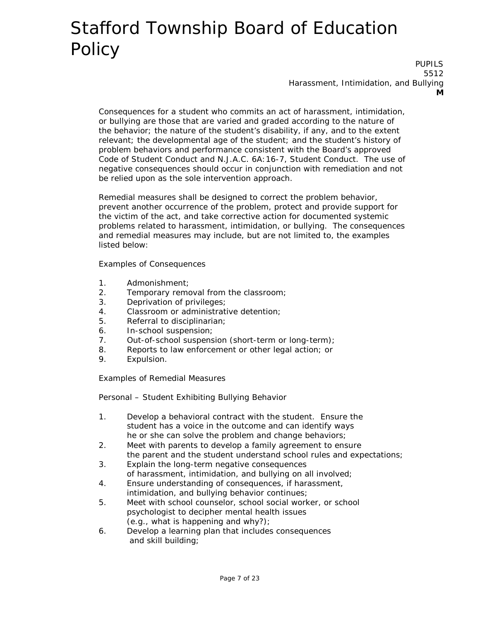PUPILS 5512 Harassment, Intimidation, and Bullying **M**

Consequences for a student who commits an act of harassment, intimidation, or bullying are those that are varied and graded according to the nature of the behavior; the nature of the student's disability, if any, and to the extent relevant; the developmental age of the student; and the student's history of problem behaviors and performance consistent with the Board's approved Code of Student Conduct and N.J.A.C. 6A:16-7, Student Conduct. The use of negative consequences should occur in conjunction with remediation and not be relied upon as the sole intervention approach.

Remedial measures shall be designed to correct the problem behavior, prevent another occurrence of the problem, protect and provide support for the victim of the act, and take corrective action for documented systemic problems related to harassment, intimidation, or bullying. The consequences and remedial measures may include, but are not limited to, the examples listed below:

Examples of Consequences

- 1. Admonishment;
- 2. Temporary removal from the classroom;
- 3. Deprivation of privileges;
- 4. Classroom or administrative detention;
- 5. Referral to disciplinarian;
- 6. In-school suspension;
- 7. Out-of-school suspension (short-term or long-term);
- 8. Reports to law enforcement or other legal action; or
- 9. Expulsion.

Examples of Remedial Measures

Personal – Student Exhibiting Bullying Behavior

- 1. Develop a behavioral contract with the student. Ensure the student has a voice in the outcome and can identify ways he or she can solve the problem and change behaviors;
- 2. Meet with parents to develop a family agreement to ensure the parent and the student understand school rules and expectations;
- 3. Explain the long-term negative consequences of harassment, intimidation, and bullying on all involved;
- 4. Ensure understanding of consequences, if harassment, intimidation, and bullying behavior continues;
- 5. Meet with school counselor, school social worker, or school psychologist to decipher mental health issues (e.g., what is happening and why?);
- 6. Develop a learning plan that includes consequences and skill building;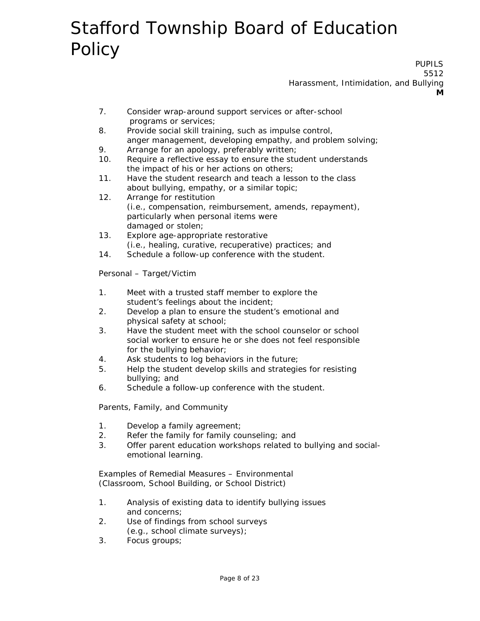PUPILS 5512 Harassment, Intimidation, and Bullying **M**

- 7. Consider wrap-around support services or after-school programs or services;
- 8. Provide social skill training, such as impulse control, anger management, developing empathy, and problem solving;
- 9. Arrange for an apology, preferably written;
- 10. Require a reflective essay to ensure the student understands the impact of his or her actions on others;
- 11. Have the student research and teach a lesson to the class about bullying, empathy, or a similar topic;
- 12. Arrange for restitution (i.e., compensation, reimbursement, amends, repayment), particularly when personal items were damaged or stolen;
- 13. Explore age-appropriate restorative (i.e., healing, curative, recuperative) practices; and
- 14. Schedule a follow-up conference with the student.

Personal – Target/Victim

- 1. Meet with a trusted staff member to explore the student's feelings about the incident;
- 2. Develop a plan to ensure the student's emotional and physical safety at school;
- 3. Have the student meet with the school counselor or school social worker to ensure he or she does not feel responsible for the bullying behavior;
- 4. Ask students to log behaviors in the future;
- 5. Help the student develop skills and strategies for resisting bullying; and
- 6. Schedule a follow-up conference with the student.

Parents, Family, and Community

- 1. Develop a family agreement;
- 2. Refer the family for family counseling; and
- 3. Offer parent education workshops related to bullying and socialemotional learning.

Examples of Remedial Measures – Environmental (Classroom, School Building, or School District)

- 1. Analysis of existing data to identify bullying issues and concerns;
- 2. Use of findings from school surveys (e.g., school climate surveys);
- 3. Focus groups;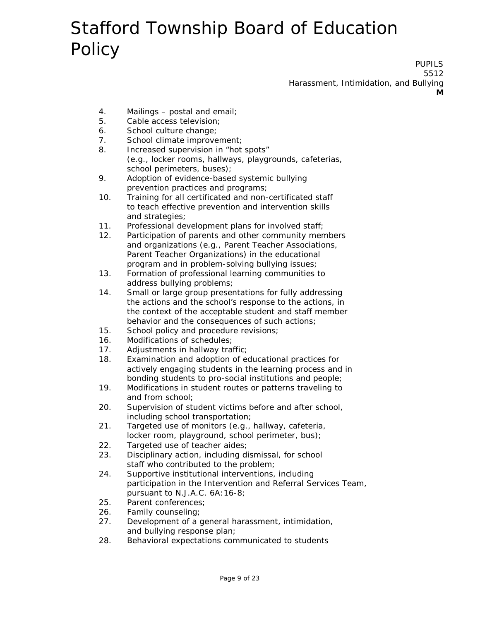PUPILS 5512 Harassment, Intimidation, and Bullying **M**

- 4. Mailings postal and email;
- 5. Cable access television;
- 6. School culture change;
- 7. School climate improvement;
- 8. Increased supervision in "hot spots" (e.g., locker rooms, hallways, playgrounds, cafeterias, school perimeters, buses);
- 9. Adoption of evidence-based systemic bullying prevention practices and programs;
- 10. Training for all certificated and non-certificated staff to teach effective prevention and intervention skills and strategies;
- 11. Professional development plans for involved staff;
- 12. Participation of parents and other community members and organizations (e.g., Parent Teacher Associations, Parent Teacher Organizations) in the educational program and in problem-solving bullying issues;
- 13. Formation of professional learning communities to address bullying problems;
- 14. Small or large group presentations for fully addressing the actions and the school's response to the actions, in the context of the acceptable student and staff member behavior and the consequences of such actions;
- 15. School policy and procedure revisions;
- 16. Modifications of schedules;
- 17. Adjustments in hallway traffic;
- 18. Examination and adoption of educational practices for actively engaging students in the learning process and in bonding students to pro-social institutions and people;
- 19. Modifications in student routes or patterns traveling to and from school;
- 20. Supervision of student victims before and after school, including school transportation;
- 21. Targeted use of monitors (e.g., hallway, cafeteria, locker room, playground, school perimeter, bus);
- 22. Targeted use of teacher aides;
- 23. Disciplinary action, including dismissal, for school staff who contributed to the problem;
- 24. Supportive institutional interventions, including participation in the Intervention and Referral Services Team, pursuant to N.J.A.C. 6A:16-8;
- 25. Parent conferences;
- 26. Family counseling;
- 27. Development of a general harassment, intimidation, and bullying response plan;
- 28. Behavioral expectations communicated to students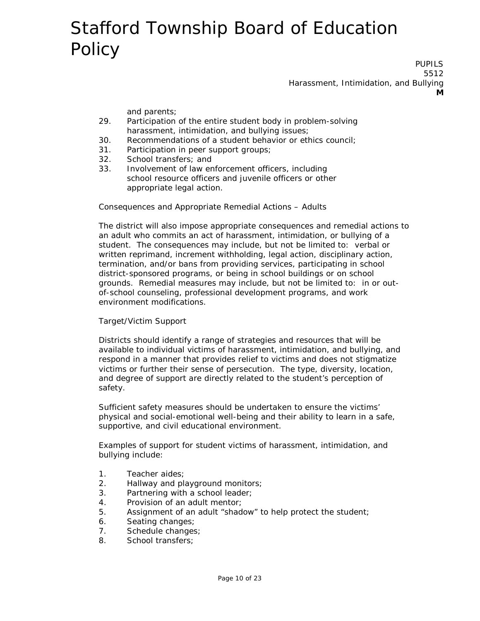PUPILS 5512 Harassment, Intimidation, and Bullying **M**

and parents;

- 29. Participation of the entire student body in problem-solving harassment, intimidation, and bullying issues;
- 30. Recommendations of a student behavior or ethics council;
- 31. Participation in peer support groups;
- 32. School transfers; and
- 33. Involvement of law enforcement officers, including school resource officers and juvenile officers or other appropriate legal action.

Consequences and Appropriate Remedial Actions – Adults

The district will also impose appropriate consequences and remedial actions to an adult who commits an act of harassment, intimidation, or bullying of a student. The consequences may include, but not be limited to: verbal or written reprimand, increment withholding, legal action, disciplinary action, termination, and/or bans from providing services, participating in school district-sponsored programs, or being in school buildings or on school grounds. Remedial measures may include, but not be limited to: in or outof-school counseling, professional development programs, and work environment modifications.

#### Target/Victim Support

Districts should identify a range of strategies and resources that will be available to individual victims of harassment, intimidation, and bullying, and respond in a manner that provides relief to victims and does not stigmatize victims or further their sense of persecution. The type, diversity, location, and degree of support are directly related to the student's perception of safety.

Sufficient safety measures should be undertaken to ensure the victims' physical and social-emotional well-being and their ability to learn in a safe, supportive, and civil educational environment.

Examples of support for student victims of harassment, intimidation, and bullying include:

- 1. Teacher aides;
- 2. Hallway and playground monitors;
- 3. Partnering with a school leader;
- 4. Provision of an adult mentor;
- 5. Assignment of an adult "shadow" to help protect the student;
- 6. Seating changes;
- 7. Schedule changes;
- 8. School transfers;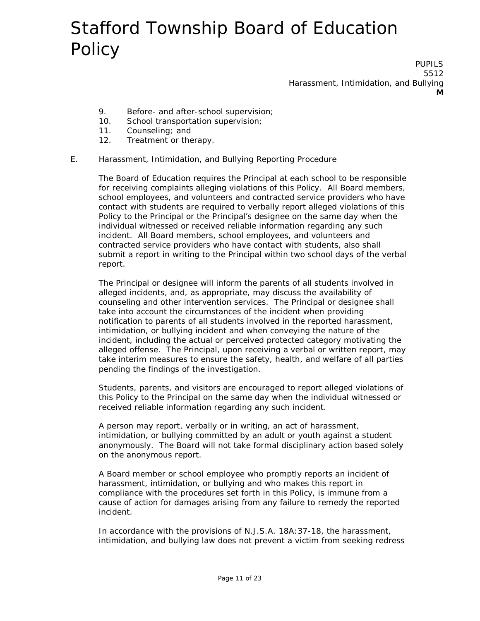PUPILS 5512 Harassment, Intimidation, and Bullying **M**

- 9. Before- and after-school supervision;
- 10. School transportation supervision;
- 11. Counseling; and
- 12. Treatment or therapy.

#### E. Harassment, Intimidation, and Bullying Reporting Procedure

The Board of Education requires the Principal at each school to be responsible for receiving complaints alleging violations of this Policy. All Board members, school employees, and volunteers and contracted service providers who have contact with students are required to verbally report alleged violations of this Policy to the Principal or the Principal's designee on the same day when the individual witnessed or received reliable information regarding any such incident. All Board members, school employees, and volunteers and contracted service providers who have contact with students, also shall submit a report in writing to the Principal within two school days of the verbal report.

The Principal or designee will inform the parents of all students involved in alleged incidents, and, as appropriate, may discuss the availability of counseling and other intervention services. The Principal or designee shall take into account the circumstances of the incident when providing notification to parents of all students involved in the reported harassment, intimidation, or bullying incident and when conveying the nature of the incident, including the actual or perceived protected category motivating the alleged offense. The Principal, upon receiving a verbal or written report, may take interim measures to ensure the safety, health, and welfare of all parties pending the findings of the investigation.

Students, parents, and visitors are encouraged to report alleged violations of this Policy to the Principal on the same day when the individual witnessed or received reliable information regarding any such incident.

A person may report, verbally or in writing, an act of harassment, intimidation, or bullying committed by an adult or youth against a student anonymously. The Board will not take formal disciplinary action based solely on the anonymous report.

A Board member or school employee who promptly reports an incident of harassment, intimidation, or bullying and who makes this report in compliance with the procedures set forth in this Policy, is immune from a cause of action for damages arising from any failure to remedy the reported incident.

In accordance with the provisions of N.J.S.A. 18A:37-18, the harassment, intimidation, and bullying law does not prevent a victim from seeking redress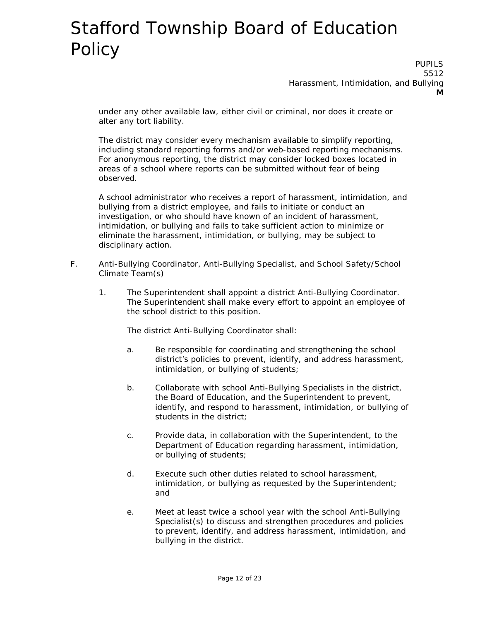PUPILS 5512 Harassment, Intimidation, and Bullying **M**

under any other available law, either civil or criminal, nor does it create or alter any tort liability.

The district may consider every mechanism available to simplify reporting, including standard reporting forms and/or web-based reporting mechanisms. For anonymous reporting, the district may consider locked boxes located in areas of a school where reports can be submitted without fear of being observed.

A school administrator who receives a report of harassment, intimidation, and bullying from a district employee, and fails to initiate or conduct an investigation, or who should have known of an incident of harassment, intimidation, or bullying and fails to take sufficient action to minimize or eliminate the harassment, intimidation, or bullying, may be subject to disciplinary action.

- F. Anti-Bullying Coordinator, Anti-Bullying Specialist, and School Safety/School Climate Team(s)
	- 1. The Superintendent shall appoint a district Anti-Bullying Coordinator. The Superintendent shall make every effort to appoint an employee of the school district to this position.

The district Anti-Bullying Coordinator shall:

- a. Be responsible for coordinating and strengthening the school district's policies to prevent, identify, and address harassment, intimidation, or bullying of students;
- b. Collaborate with school Anti-Bullying Specialists in the district, the Board of Education, and the Superintendent to prevent, identify, and respond to harassment, intimidation, or bullying of students in the district;
- c. Provide data, in collaboration with the Superintendent, to the Department of Education regarding harassment, intimidation, or bullying of students;
- d. Execute such other duties related to school harassment, intimidation, or bullying as requested by the Superintendent; and
- e. Meet at least twice a school year with the school Anti-Bullying Specialist(s) to discuss and strengthen procedures and policies to prevent, identify, and address harassment, intimidation, and bullying in the district.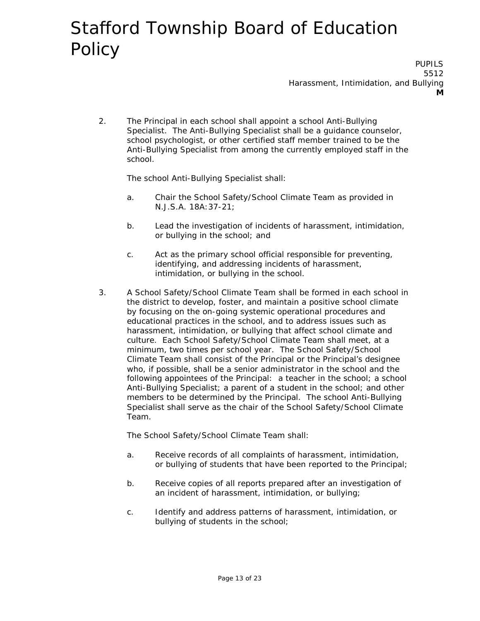PUPILS 5512 Harassment, Intimidation, and Bullying **M**

2. The Principal in each school shall appoint a school Anti-Bullying Specialist. The Anti-Bullying Specialist shall be a guidance counselor, school psychologist, or other certified staff member trained to be the Anti-Bullying Specialist from among the currently employed staff in the school.

The school Anti-Bullying Specialist shall:

- a. Chair the School Safety/School Climate Team as provided in N.J.S.A. 18A:37-21;
- b. Lead the investigation of incidents of harassment, intimidation, or bullying in the school; and
- c. Act as the primary school official responsible for preventing, identifying, and addressing incidents of harassment, intimidation, or bullying in the school.
- 3. A School Safety/School Climate Team shall be formed in each school in the district to develop, foster, and maintain a positive school climate by focusing on the on-going systemic operational procedures and educational practices in the school, and to address issues such as harassment, intimidation, or bullying that affect school climate and culture. Each School Safety/School Climate Team shall meet, at a minimum, two times per school year. The School Safety/School Climate Team shall consist of the Principal or the Principal's designee who, if possible, shall be a senior administrator in the school and the following appointees of the Principal: a teacher in the school; a school Anti-Bullying Specialist; a parent of a student in the school; and other members to be determined by the Principal. The school Anti-Bullying Specialist shall serve as the chair of the School Safety/School Climate Team.

The School Safety/School Climate Team shall:

- a. Receive records of all complaints of harassment, intimidation, or bullying of students that have been reported to the Principal;
- b. Receive copies of all reports prepared after an investigation of an incident of harassment, intimidation, or bullying;
- c. Identify and address patterns of harassment, intimidation, or bullying of students in the school;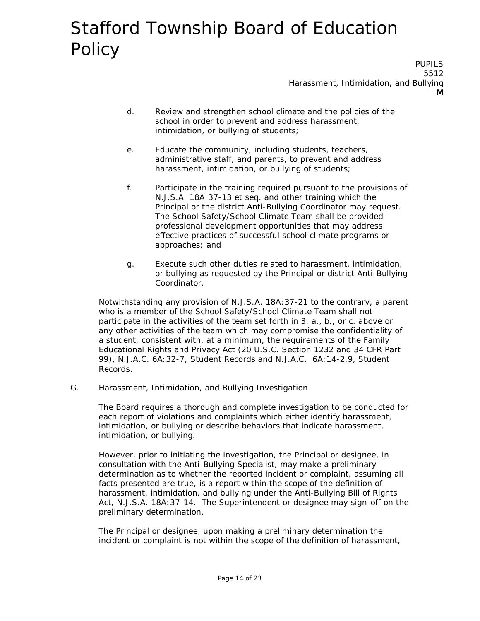PUPILS 5512 Harassment, Intimidation, and Bullying **M**

- d. Review and strengthen school climate and the policies of the school in order to prevent and address harassment, intimidation, or bullying of students;
- e. Educate the community, including students, teachers, administrative staff, and parents, to prevent and address harassment, intimidation, or bullying of students;
- f. Participate in the training required pursuant to the provisions of N.J.S.A. 18A:37-13 et seq. and other training which the Principal or the district Anti-Bullying Coordinator may request. The School Safety/School Climate Team shall be provided professional development opportunities that may address effective practices of successful school climate programs or approaches; and
- g. Execute such other duties related to harassment, intimidation, or bullying as requested by the Principal or district Anti-Bullying Coordinator.

Notwithstanding any provision of N.J.S.A. 18A:37-21 to the contrary, a parent who is a member of the School Safety/School Climate Team shall not participate in the activities of the team set forth in 3. a., b., or c. above or any other activities of the team which may compromise the confidentiality of a student, consistent with, at a minimum, the requirements of the Family Educational Rights and Privacy Act (20 U.S.C. Section 1232 and 34 CFR Part 99), N.J.A.C. 6A:32-7, Student Records and N.J.A.C. 6A:14-2.9, Student Records.

G. Harassment, Intimidation, and Bullying Investigation

The Board requires a thorough and complete investigation to be conducted for each report of violations and complaints which either identify harassment, intimidation, or bullying or describe behaviors that indicate harassment, intimidation, or bullying.

However, prior to initiating the investigation, the Principal or designee, in consultation with the Anti-Bullying Specialist, may make a preliminary determination as to whether the reported incident or complaint, assuming all facts presented are true, is a report within the scope of the definition of harassment, intimidation, and bullying under the Anti-Bullying Bill of Rights Act, N.J.S.A. 18A:37-14. The Superintendent or designee may sign-off on the preliminary determination.

The Principal or designee, upon making a preliminary determination the incident or complaint is not within the scope of the definition of harassment,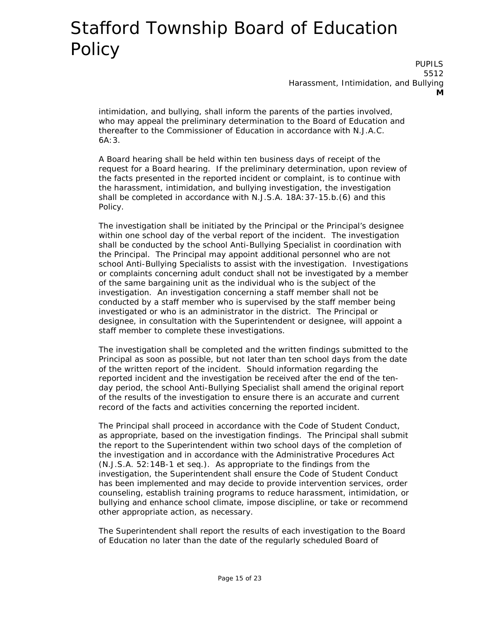PUPILS 5512 Harassment, Intimidation, and Bullying **M**

intimidation, and bullying, shall inform the parents of the parties involved, who may appeal the preliminary determination to the Board of Education and thereafter to the Commissioner of Education in accordance with N.J.A.C. 6A:3.

A Board hearing shall be held within ten business days of receipt of the request for a Board hearing. If the preliminary determination, upon review of the facts presented in the reported incident or complaint, is to continue with the harassment, intimidation, and bullying investigation, the investigation shall be completed in accordance with N.J.S.A. 18A:37-15.b.(6) and this Policy.

The investigation shall be initiated by the Principal or the Principal's designee within one school day of the verbal report of the incident. The investigation shall be conducted by the school Anti-Bullying Specialist in coordination with the Principal. The Principal may appoint additional personnel who are not school Anti-Bullying Specialists to assist with the investigation. Investigations or complaints concerning adult conduct shall not be investigated by a member of the same bargaining unit as the individual who is the subject of the investigation. An investigation concerning a staff member shall not be conducted by a staff member who is supervised by the staff member being investigated or who is an administrator in the district. The Principal or designee, in consultation with the Superintendent or designee, will appoint a staff member to complete these investigations.

The investigation shall be completed and the written findings submitted to the Principal as soon as possible, but not later than ten school days from the date of the written report of the incident. Should information regarding the reported incident and the investigation be received after the end of the tenday period, the school Anti-Bullying Specialist shall amend the original report of the results of the investigation to ensure there is an accurate and current record of the facts and activities concerning the reported incident.

The Principal shall proceed in accordance with the Code of Student Conduct, as appropriate, based on the investigation findings. The Principal shall submit the report to the Superintendent within two school days of the completion of the investigation and in accordance with the Administrative Procedures Act (N.J.S.A. 52:14B-1 et seq.). As appropriate to the findings from the investigation, the Superintendent shall ensure the Code of Student Conduct has been implemented and may decide to provide intervention services, order counseling, establish training programs to reduce harassment, intimidation, or bullying and enhance school climate, impose discipline, or take or recommend other appropriate action, as necessary.

The Superintendent shall report the results of each investigation to the Board of Education no later than the date of the regularly scheduled Board of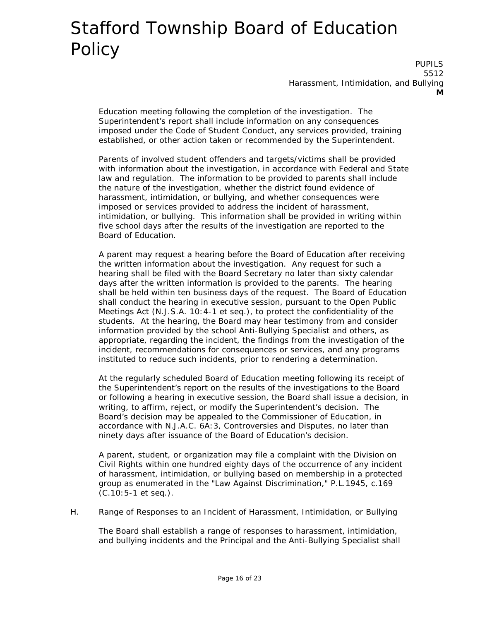PUPILS 5512 Harassment, Intimidation, and Bullying **M**

Education meeting following the completion of the investigation. The Superintendent's report shall include information on any consequences imposed under the Code of Student Conduct, any services provided, training established, or other action taken or recommended by the Superintendent.

Parents of involved student offenders and targets/victims shall be provided with information about the investigation, in accordance with Federal and State law and regulation. The information to be provided to parents shall include the nature of the investigation, whether the district found evidence of harassment, intimidation, or bullying, and whether consequences were imposed or services provided to address the incident of harassment, intimidation, or bullying. This information shall be provided in writing within five school days after the results of the investigation are reported to the Board of Education.

A parent may request a hearing before the Board of Education after receiving the written information about the investigation. Any request for such a hearing shall be filed with the Board Secretary no later than sixty calendar days after the written information is provided to the parents. The hearing shall be held within ten business days of the request. The Board of Education shall conduct the hearing in executive session, pursuant to the Open Public Meetings Act (N.J.S.A. 10:4-1 et seq.), to protect the confidentiality of the students. At the hearing, the Board may hear testimony from and consider information provided by the school Anti-Bullying Specialist and others, as appropriate, regarding the incident, the findings from the investigation of the incident, recommendations for consequences or services, and any programs instituted to reduce such incidents, prior to rendering a determination.

At the regularly scheduled Board of Education meeting following its receipt of the Superintendent's report on the results of the investigations to the Board or following a hearing in executive session, the Board shall issue a decision, in writing, to affirm, reject, or modify the Superintendent's decision. The Board's decision may be appealed to the Commissioner of Education, in accordance with N.J.A.C. 6A:3, Controversies and Disputes, no later than ninety days after issuance of the Board of Education's decision.

A parent, student, or organization may file a complaint with the Division on Civil Rights within one hundred eighty days of the occurrence of any incident of harassment, intimidation, or bullying based on membership in a protected group as enumerated in the "Law Against Discrimination," P.L.1945, c.169 (C.10:5-1 et seq.).

H. Range of Responses to an Incident of Harassment, Intimidation, or Bullying

The Board shall establish a range of responses to harassment, intimidation, and bullying incidents and the Principal and the Anti-Bullying Specialist shall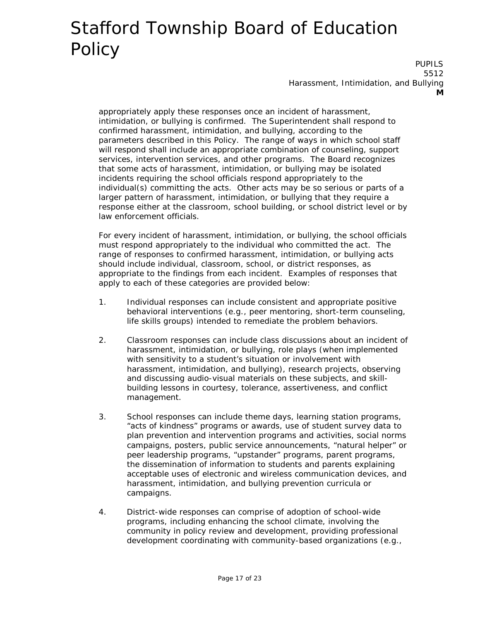PUPILS 5512 Harassment, Intimidation, and Bullying **M**

appropriately apply these responses once an incident of harassment, intimidation, or bullying is confirmed. The Superintendent shall respond to confirmed harassment, intimidation, and bullying, according to the parameters described in this Policy. The range of ways in which school staff will respond shall include an appropriate combination of counseling, support services, intervention services, and other programs. The Board recognizes that some acts of harassment, intimidation, or bullying may be isolated incidents requiring the school officials respond appropriately to the individual(s) committing the acts. Other acts may be so serious or parts of a larger pattern of harassment, intimidation, or bullying that they require a response either at the classroom, school building, or school district level or by law enforcement officials.

For every incident of harassment, intimidation, or bullying, the school officials must respond appropriately to the individual who committed the act. The range of responses to confirmed harassment, intimidation, or bullying acts should include individual, classroom, school, or district responses, as appropriate to the findings from each incident. Examples of responses that apply to each of these categories are provided below:

- 1. Individual responses can include consistent and appropriate positive behavioral interventions (e.g., peer mentoring, short-term counseling, life skills groups) intended to remediate the problem behaviors.
- 2. Classroom responses can include class discussions about an incident of harassment, intimidation, or bullying, role plays (when implemented with sensitivity to a student's situation or involvement with harassment, intimidation, and bullying), research projects, observing and discussing audio-visual materials on these subjects, and skillbuilding lessons in courtesy, tolerance, assertiveness, and conflict management.
- 3. School responses can include theme days, learning station programs, "acts of kindness" programs or awards, use of student survey data to plan prevention and intervention programs and activities, social norms campaigns, posters, public service announcements, "natural helper" or peer leadership programs, "upstander" programs, parent programs, the dissemination of information to students and parents explaining acceptable uses of electronic and wireless communication devices, and harassment, intimidation, and bullying prevention curricula or campaigns.
- 4. District-wide responses can comprise of adoption of school-wide programs, including enhancing the school climate, involving the community in policy review and development, providing professional development coordinating with community-based organizations (e.g.,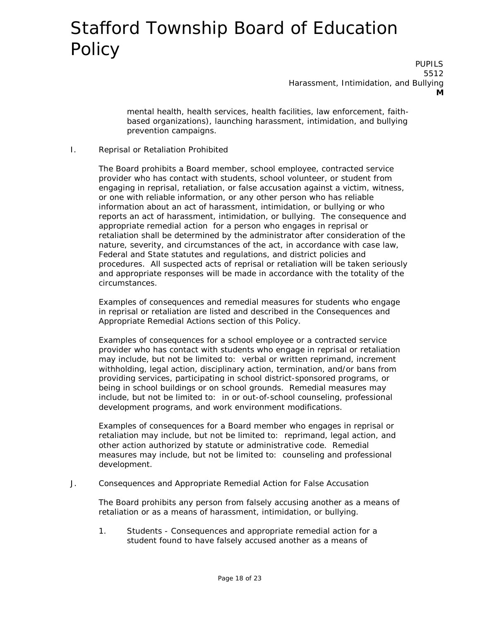PUPILS 5512 Harassment, Intimidation, and Bullying **M**

mental health, health services, health facilities, law enforcement, faithbased organizations), launching harassment, intimidation, and bullying prevention campaigns.

#### I. Reprisal or Retaliation Prohibited

The Board prohibits a Board member, school employee, contracted service provider who has contact with students, school volunteer, or student from engaging in reprisal, retaliation, or false accusation against a victim, witness, or one with reliable information, or any other person who has reliable information about an act of harassment, intimidation, or bullying or who reports an act of harassment, intimidation, or bullying. The consequence and appropriate remedial action for a person who engages in reprisal or retaliation shall be determined by the administrator after consideration of the nature, severity, and circumstances of the act, in accordance with case law, Federal and State statutes and regulations, and district policies and procedures. All suspected acts of reprisal or retaliation will be taken seriously and appropriate responses will be made in accordance with the totality of the circumstances.

Examples of consequences and remedial measures for students who engage in reprisal or retaliation are listed and described in the Consequences and Appropriate Remedial Actions section of this Policy.

Examples of consequences for a school employee or a contracted service provider who has contact with students who engage in reprisal or retaliation may include, but not be limited to: verbal or written reprimand, increment withholding, legal action, disciplinary action, termination, and/or bans from providing services, participating in school district-sponsored programs, or being in school buildings or on school grounds. Remedial measures may include, but not be limited to: in or out-of-school counseling, professional development programs, and work environment modifications.

Examples of consequences for a Board member who engages in reprisal or retaliation may include, but not be limited to: reprimand, legal action, and other action authorized by statute or administrative code. Remedial measures may include, but not be limited to: counseling and professional development.

J. Consequences and Appropriate Remedial Action for False Accusation

The Board prohibits any person from falsely accusing another as a means of retaliation or as a means of harassment, intimidation, or bullying.

1. Students - Consequences and appropriate remedial action for a student found to have falsely accused another as a means of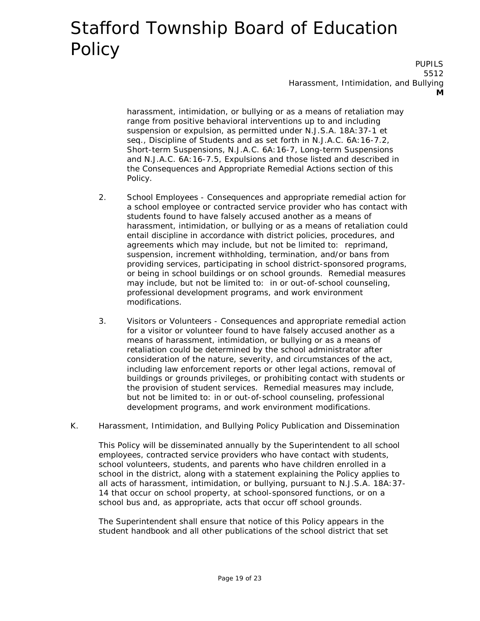PUPILS 5512 Harassment, Intimidation, and Bullying **M**

harassment, intimidation, or bullying or as a means of retaliation may range from positive behavioral interventions up to and including suspension or expulsion, as permitted under N.J.S.A. 18A:37-1 et seq., Discipline of Students and as set forth in N.J.A.C. 6A:16-7.2, Short-term Suspensions, N.J.A.C. 6A:16-7, Long-term Suspensions and N.J.A.C. 6A:16-7.5, Expulsions and those listed and described in the Consequences and Appropriate Remedial Actions section of this Policy.

- 2. School Employees Consequences and appropriate remedial action for a school employee or contracted service provider who has contact with students found to have falsely accused another as a means of harassment, intimidation, or bullying or as a means of retaliation could entail discipline in accordance with district policies, procedures, and agreements which may include, but not be limited to: reprimand, suspension, increment withholding, termination, and/or bans from providing services, participating in school district-sponsored programs, or being in school buildings or on school grounds. Remedial measures may include, but not be limited to: in or out-of-school counseling, professional development programs, and work environment modifications.
- 3. Visitors or Volunteers Consequences and appropriate remedial action for a visitor or volunteer found to have falsely accused another as a means of harassment, intimidation, or bullying or as a means of retaliation could be determined by the school administrator after consideration of the nature, severity, and circumstances of the act, including law enforcement reports or other legal actions, removal of buildings or grounds privileges, or prohibiting contact with students or the provision of student services. Remedial measures may include, but not be limited to: in or out-of-school counseling, professional development programs, and work environment modifications.
- K. Harassment, Intimidation, and Bullying Policy Publication and Dissemination

This Policy will be disseminated annually by the Superintendent to all school employees, contracted service providers who have contact with students, school volunteers, students, and parents who have children enrolled in a school in the district, along with a statement explaining the Policy applies to all acts of harassment, intimidation, or bullying, pursuant to N.J.S.A. 18A:37- 14 that occur on school property, at school-sponsored functions, or on a school bus and, as appropriate, acts that occur off school grounds.

The Superintendent shall ensure that notice of this Policy appears in the student handbook and all other publications of the school district that set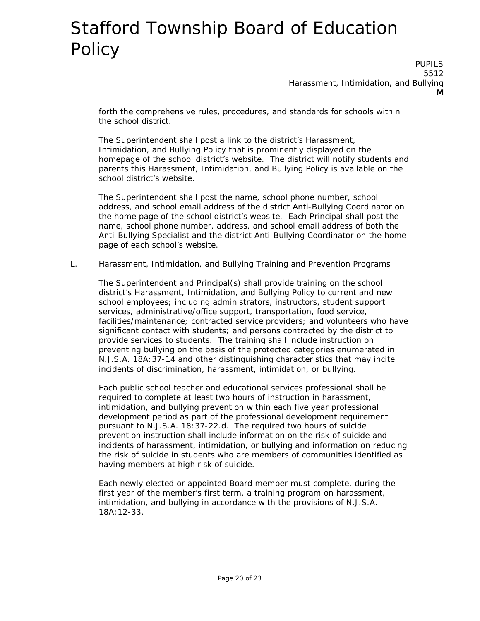PUPILS 5512 Harassment, Intimidation, and Bullying **M**

forth the comprehensive rules, procedures, and standards for schools within the school district.

The Superintendent shall post a link to the district's Harassment, Intimidation, and Bullying Policy that is prominently displayed on the homepage of the school district's website. The district will notify students and parents this Harassment, Intimidation, and Bullying Policy is available on the school district's website.

The Superintendent shall post the name, school phone number, school address, and school email address of the district Anti-Bullying Coordinator on the home page of the school district's website. Each Principal shall post the name, school phone number, address, and school email address of both the Anti-Bullying Specialist and the district Anti-Bullying Coordinator on the home page of each school's website.

L. Harassment, Intimidation, and Bullying Training and Prevention Programs

The Superintendent and Principal(s) shall provide training on the school district's Harassment, Intimidation, and Bullying Policy to current and new school employees; including administrators, instructors, student support services, administrative/office support, transportation, food service, facilities/maintenance; contracted service providers; and volunteers who have significant contact with students; and persons contracted by the district to provide services to students. The training shall include instruction on preventing bullying on the basis of the protected categories enumerated in N.J.S.A. 18A:37-14 and other distinguishing characteristics that may incite incidents of discrimination, harassment, intimidation, or bullying.

Each public school teacher and educational services professional shall be required to complete at least two hours of instruction in harassment, intimidation, and bullying prevention within each five year professional development period as part of the professional development requirement pursuant to N.J.S.A. 18:37-22.d. The required two hours of suicide prevention instruction shall include information on the risk of suicide and incidents of harassment, intimidation, or bullying and information on reducing the risk of suicide in students who are members of communities identified as having members at high risk of suicide.

Each newly elected or appointed Board member must complete, during the first year of the member's first term, a training program on harassment, intimidation, and bullying in accordance with the provisions of N.J.S.A. 18A:12-33.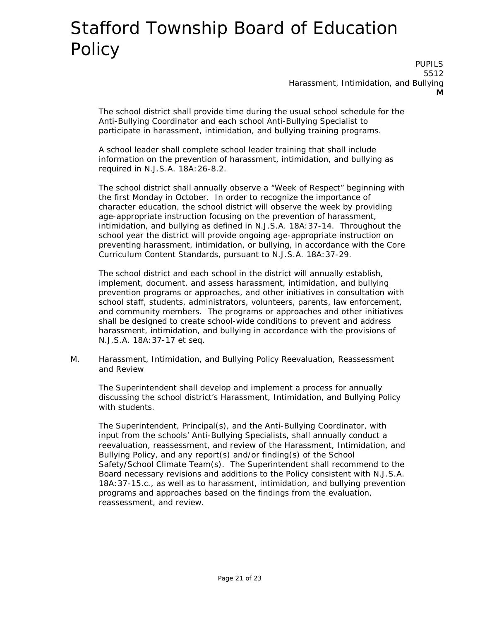PUPILS 5512 Harassment, Intimidation, and Bullying **M**

The school district shall provide time during the usual school schedule for the Anti-Bullying Coordinator and each school Anti-Bullying Specialist to participate in harassment, intimidation, and bullying training programs.

A school leader shall complete school leader training that shall include information on the prevention of harassment, intimidation, and bullying as required in N.J.S.A. 18A:26-8.2.

The school district shall annually observe a "Week of Respect" beginning with the first Monday in October. In order to recognize the importance of character education, the school district will observe the week by providing age-appropriate instruction focusing on the prevention of harassment, intimidation, and bullying as defined in N.J.S.A. 18A:37-14. Throughout the school year the district will provide ongoing age-appropriate instruction on preventing harassment, intimidation, or bullying, in accordance with the Core Curriculum Content Standards, pursuant to N.J.S.A. 18A:37-29.

The school district and each school in the district will annually establish, implement, document, and assess harassment, intimidation, and bullying prevention programs or approaches, and other initiatives in consultation with school staff, students, administrators, volunteers, parents, law enforcement, and community members. The programs or approaches and other initiatives shall be designed to create school-wide conditions to prevent and address harassment, intimidation, and bullying in accordance with the provisions of N.J.S.A. 18A:37-17 et seq.

M. Harassment, Intimidation, and Bullying Policy Reevaluation, Reassessment and Review

The Superintendent shall develop and implement a process for annually discussing the school district's Harassment, Intimidation, and Bullying Policy with students.

The Superintendent, Principal(s), and the Anti-Bullying Coordinator, with input from the schools' Anti-Bullying Specialists, shall annually conduct a reevaluation, reassessment, and review of the Harassment, Intimidation, and Bullying Policy, and any report(s) and/or finding(s) of the School Safety/School Climate Team(s). The Superintendent shall recommend to the Board necessary revisions and additions to the Policy consistent with N.J.S.A. 18A:37-15.c., as well as to harassment, intimidation, and bullying prevention programs and approaches based on the findings from the evaluation, reassessment, and review.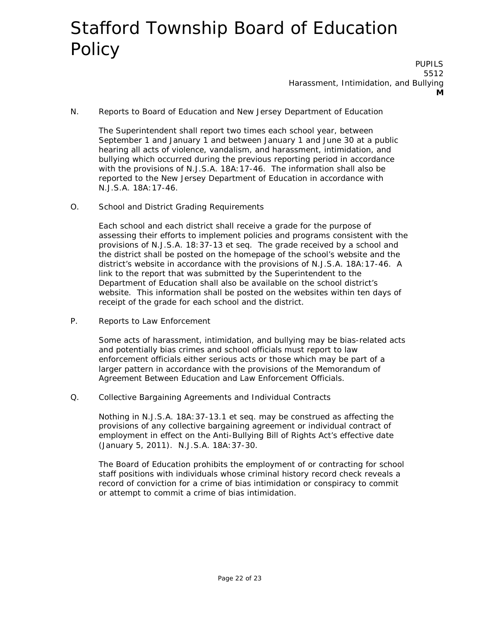PUPILS 5512 Harassment, Intimidation, and Bullying **M**

N. Reports to Board of Education and New Jersey Department of Education

The Superintendent shall report two times each school year, between September 1 and January 1 and between January 1 and June 30 at a public hearing all acts of violence, vandalism, and harassment, intimidation, and bullying which occurred during the previous reporting period in accordance with the provisions of N.J.S.A. 18A:17-46. The information shall also be reported to the New Jersey Department of Education in accordance with N.J.S.A. 18A:17-46.

O. School and District Grading Requirements

Each school and each district shall receive a grade for the purpose of assessing their efforts to implement policies and programs consistent with the provisions of N.J.S.A. 18:37-13 et seq. The grade received by a school and the district shall be posted on the homepage of the school's website and the district's website in accordance with the provisions of N.J.S.A. 18A:17-46. A link to the report that was submitted by the Superintendent to the Department of Education shall also be available on the school district's website. This information shall be posted on the websites within ten days of receipt of the grade for each school and the district.

P. Reports to Law Enforcement

Some acts of harassment, intimidation, and bullying may be bias-related acts and potentially bias crimes and school officials must report to law enforcement officials either serious acts or those which may be part of a larger pattern in accordance with the provisions of the Memorandum of Agreement Between Education and Law Enforcement Officials.

Q. Collective Bargaining Agreements and Individual Contracts

Nothing in N.J.S.A. 18A:37-13.1 et seq. may be construed as affecting the provisions of any collective bargaining agreement or individual contract of employment in effect on the Anti-Bullying Bill of Rights Act's effective date (January 5, 2011). N.J.S.A. 18A:37-30.

The Board of Education prohibits the employment of or contracting for school staff positions with individuals whose criminal history record check reveals a record of conviction for a crime of bias intimidation or conspiracy to commit or attempt to commit a crime of bias intimidation.